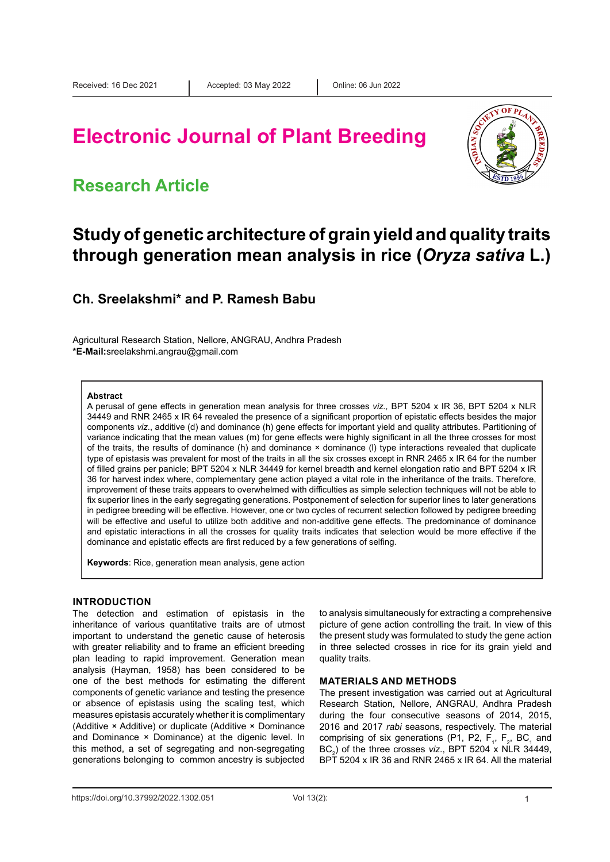# **Electronic Journal of Plant Breeding**

### **Research Article**



## **Study of genetic architecture of grain yield and quality traits through generation mean analysis in rice (***Oryza sativa* **L.)**

### **Ch. Sreelakshmi\* and P. Ramesh Babu**

Agricultural Research Station, Nellore, ANGRAU, Andhra Pradesh **\*E-Mail:**sreelakshmi.angrau@gmail.com

#### **Abstract**

A perusal of gene effects in generation mean analysis for three crosses *viz.,* BPT 5204 x IR 36, BPT 5204 x NLR 34449 and RNR 2465 x IR 64 revealed the presence of a significant proportion of epistatic effects besides the major components *viz*., additive (d) and dominance (h) gene effects for important yield and quality attributes. Partitioning of variance indicating that the mean values (m) for gene effects were highly significant in all the three crosses for most of the traits, the results of dominance (h) and dominance × dominance (l) type interactions revealed that duplicate type of epistasis was prevalent for most of the traits in all the six crosses except in RNR 2465 x IR 64 for the number of filled grains per panicle; BPT 5204 x NLR 34449 for kernel breadth and kernel elongation ratio and BPT 5204 x IR 36 for harvest index where, complementary gene action played a vital role in the inheritance of the traits. Therefore, improvement of these traits appears to overwhelmed with difficulties as simple selection techniques will not be able to fix superior lines in the early segregating generations. Postponement of selection for superior lines to later generations in pedigree breeding will be effective. However, one or two cycles of recurrent selection followed by pedigree breeding will be effective and useful to utilize both additive and non-additive gene effects. The predominance of dominance and epistatic interactions in all the crosses for quality traits indicates that selection would be more effective if the dominance and epistatic effects are first reduced by a few generations of selfing.

**Keywords**: Rice, generation mean analysis, gene action

#### **INTRODUCTION**

The detection and estimation of epistasis in the inheritance of various quantitative traits are of utmost important to understand the genetic cause of heterosis with greater reliability and to frame an efficient breeding plan leading to rapid improvement. Generation mean analysis (Hayman, 1958) has been considered to be one of the best methods for estimating the different components of genetic variance and testing the presence or absence of epistasis using the scaling test, which measures epistasis accurately whether it is complimentary (Additive × Additive) or duplicate (Additive × Dominance and Dominance × Dominance) at the digenic level. In this method, a set of segregating and non-segregating generations belonging to common ancestry is subjected

to analysis simultaneously for extracting a comprehensive picture of gene action controlling the trait. In view of this the present study was formulated to study the gene action in three selected crosses in rice for its grain yield and quality traits.

#### **MATERIALS AND METHODS**

The present investigation was carried out at Agricultural Research Station, Nellore, ANGRAU, Andhra Pradesh during the four consecutive seasons of 2014, 2015, 2016 and 2017 *rabi* seasons, respectively. The material comprising of six generations (P1, P2,  $F_1$ ,  $F_2$ , BC<sub>1</sub> and  $BC<sub>2</sub>$ ) of the three crosses *viz*., BPT 5204 x NLR 34449, BPT 5204 x IR 36 and RNR 2465 x IR 64. All the material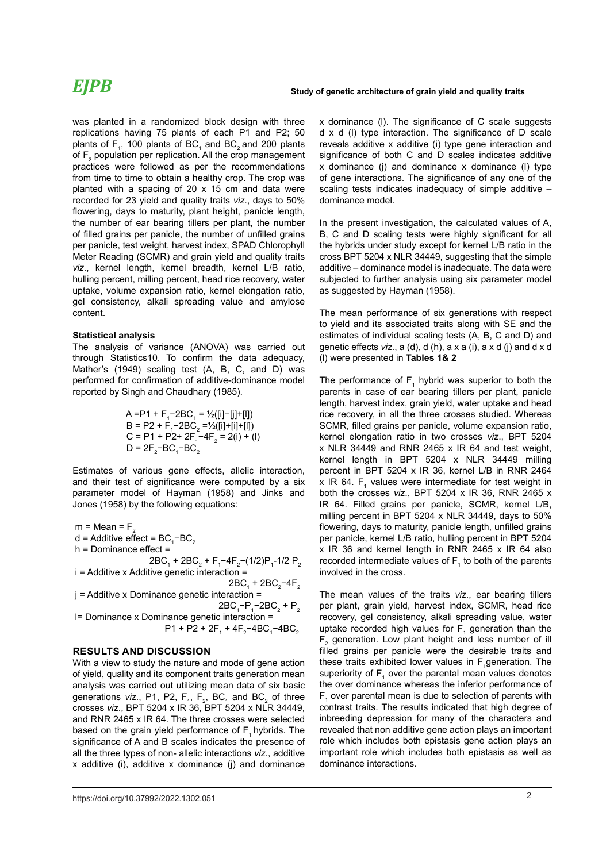was planted in a randomized block design with three replications having 75 plants of each P1 and P2; 50 plants of F<sub>1</sub>, 100 plants of BC<sub>1</sub> and BC<sub>2</sub> and 200 plants of  $\mathsf{F}_2$  population per replication. All the crop management practices were followed as per the recommendations from time to time to obtain a healthy crop. The crop was planted with a spacing of 20 x 15 cm and data were recorded for 23 yield and quality traits *viz*., days to 50% flowering, days to maturity, plant height, panicle length, the number of ear bearing tillers per plant, the number of filled grains per panicle, the number of unfilled grains per panicle, test weight, harvest index, SPAD Chlorophyll Meter Reading (SCMR) and grain yield and quality traits *viz*., kernel length, kernel breadth, kernel L/B ratio, hulling percent, milling percent, head rice recovery, water uptake, volume expansion ratio, kernel elongation ratio, gel consistency, alkali spreading value and amylose content.

#### **Statistical analysis**

The analysis of variance (ANOVA) was carried out through Statistics10. To confirm the data adequacy, Mather's (1949) scaling test (A, B, C, and D) was performed for confirmation of additive-dominance model reported by Singh and Chaudhary (1985).

A = P1 + F<sub>1</sub>-2BC<sub>1</sub> = 
$$
\frac{1}{2}
$$
([i] - [j] + [l])  
B = P2 + F<sub>1</sub>-2BC<sub>2</sub> =  $\frac{1}{2}$ ([i] + [i] + [l])  
C = P1 + P2 + 2F<sub>1</sub>-4F<sub>2</sub> = 2(i) + (l)  
D =  $2F_2 - BC_1 - BC_2$ 

Estimates of various gene effects, allelic interaction, and their test of significance were computed by a six parameter model of Hayman (1958) and Jinks and Jones (1958) by the following equations:

 $m = Mean = F$  $d =$  Additive effect =  $BC_1$ –BC<sub>2</sub> h = Dominance effect =  $2BC_1 + 2BC_2 + F_1 - 4F_2 - (1/2)P_1 - 1/2P_2$ i = Additive x Additive genetic interaction =

$$
2BC1 + 2BC2-4F2
$$
  
j = Additive x Dominance genetic interaction =  

$$
2BC1-P1-2BC2 + P2
$$

 l= Dominance x Dominance genetic interaction =  $P1 + P2 + 2F_1 + 4F_2 - 4BC_1 - 4BC_2$ 

#### **RESULTS AND DISCUSSION**

With a view to study the nature and mode of gene action of yield, quality and its component traits generation mean analysis was carried out utilizing mean data of six basic generations *viz*., P1, P2,  $F_1$ ,  $F_2$ , BC<sub>1</sub> and BC<sub>2</sub> of three crosses *viz*., BPT 5204 x IR 36, BPT 5204 x NLR 34449, and RNR 2465 x IR 64. The three crosses were selected based on the grain yield performance of  $F_1$  hybrids. The significance of A and B scales indicates the presence of all the three types of non- allelic interactions *viz*., additive x additive (i), additive x dominance (j) and dominance

https://doi.org/10.37992/2022.1302.051 2

x dominance (l). The significance of C scale suggests d x d (l) type interaction. The significance of D scale reveals additive x additive (i) type gene interaction and significance of both C and D scales indicates additive x dominance (j) and dominance x dominance (l) type of gene interactions. The significance of any one of the scaling tests indicates inadequacy of simple additive – dominance model.

In the present investigation, the calculated values of A, B, C and D scaling tests were highly significant for all the hybrids under study except for kernel L/B ratio in the cross BPT 5204 x NLR 34449, suggesting that the simple additive – dominance model is inadequate. The data were subjected to further analysis using six parameter model as suggested by Hayman (1958).

The mean performance of six generations with respect to yield and its associated traits along with SE and the estimates of individual scaling tests (A, B, C and D) and genetic effects *viz*., a (d), d (h), a x a (i), a x d (j) and d x d (l) were presented in **Tables 1& 2**

The performance of  $F_1$  hybrid was superior to both the parents in case of ear bearing tillers per plant, panicle length, harvest index, grain yield, water uptake and head rice recovery, in all the three crosses studied. Whereas SCMR, filled grains per panicle, volume expansion ratio, kernel elongation ratio in two crosses *viz*., BPT 5204 x NLR 34449 and RNR 2465 x IR 64 and test weight, kernel length in BPT 5204 x NLR 34449 milling percent in BPT 5204 x IR 36, kernel L/B in RNR 2464 x IR 64.  $F_1$  values were intermediate for test weight in both the crosses *viz*., BPT 5204 x IR 36, RNR 2465 x IR 64. Filled grains per panicle, SCMR, kernel L/B, milling percent in BPT 5204 x NLR 34449, days to 50% flowering, days to maturity, panicle length, unfilled grains per panicle, kernel L/B ratio, hulling percent in BPT 5204 x IR 36 and kernel length in RNR 2465 x IR 64 also recorded intermediate values of  $F_1$  to both of the parents involved in the cross.

The mean values of the traits *viz*., ear bearing tillers per plant, grain yield, harvest index, SCMR, head rice recovery, gel consistency, alkali spreading value, water uptake recorded high values for  $F_1$  generation than the  $F_{2}$  generation. Low plant height and less number of ill filled grains per panicle were the desirable traits and these traits exhibited lower values in  $F_1$ generation. The superiority of  $F_1$  over the parental mean values denotes the over dominance whereas the inferior performance of  $\mathsf{F}_1$  over parental mean is due to selection of parents with contrast traits. The results indicated that high degree of inbreeding depression for many of the characters and revealed that non additive gene action plays an important role which includes both epistasis gene action plays an important role which includes both epistasis as well as dominance interactions.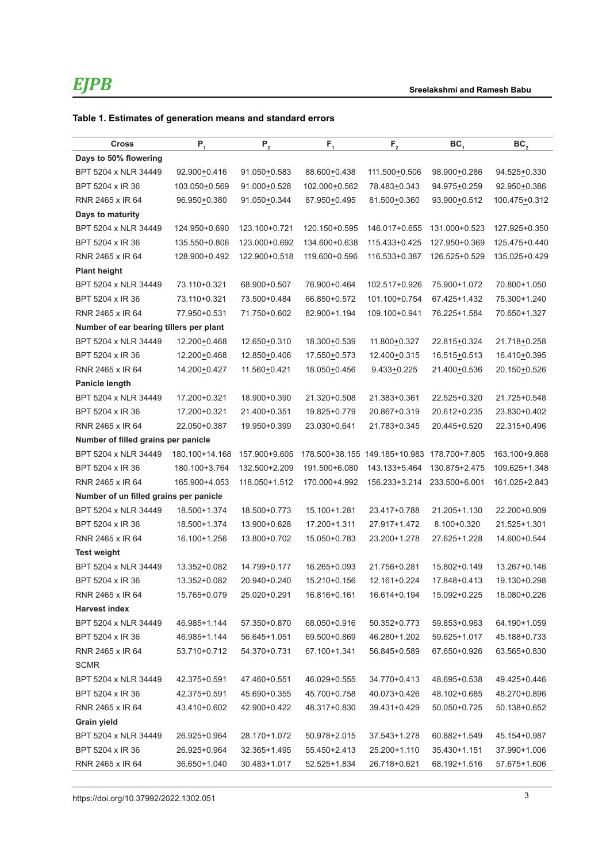### **Table 1. Estimates of generation means and standard errors**

| <b>Cross</b>                            | $P_1$          | ${\sf P}_{\sf 2}$ | $\mathsf{F}_i$                | $F_{2}$         | BC <sub>1</sub> | BC <sub>2</sub> |
|-----------------------------------------|----------------|-------------------|-------------------------------|-----------------|-----------------|-----------------|
| Days to 50% flowering                   |                |                   |                               |                 |                 |                 |
| BPT 5204 x NLR 34449                    | 92.900+0.416   | 91.050+0.583      | 88.600+0.438                  | 111.500+0.506   | 98.900+0.286    | 94.525+0.330    |
| BPT 5204 x IR 36                        | 103.050±0.569  | 91.000+0.528      | 102.000+0.562                 | 78.483+0.343    | 94.975+0.259    | 92.950+0.386    |
| RNR 2465 x IR 64                        | 96.950+0.380   | 91.050+0.344      | 87.950+0.495                  | 81.500+0.360    | 93.900±0.512    | 100.475+0.312   |
| Days to maturity                        |                |                   |                               |                 |                 |                 |
| BPT 5204 x NLR 34449                    | 124.950+0.690  | 123.100+0.721     | 120.150+0.595                 | 146.017+0.655   | 131.000+0.523   | 127.925+0.350   |
| BPT 5204 x IR 36                        | 135.550+0.806  | 123.000+0.692     | 134.600+0.638                 | 115.433+0.425   | 127.950+0.369   | 125.475+0.440   |
| RNR 2465 x IR 64                        | 128.900+0.492  | 122.900+0.518     | 119.600+0.596                 | 116.533+0.387   | 126.525+0.529   | 135.025+0.429   |
| <b>Plant height</b>                     |                |                   |                               |                 |                 |                 |
| BPT 5204 x NLR 34449                    | 73.110+0.321   | 68.900+0.507      | 76.900+0.464                  | 102.517+0.926   | 75.900+1.072    | 70.800+1.050    |
| BPT 5204 x IR 36                        | 73.110+0.321   | 73.500+0.484      | 66.850+0.572                  | 101.100+0.754   | 67.425+1.432    | 75.300+1.240    |
| RNR 2465 x IR 64                        | 77.950+0.531   | 71.750+0.602      | 82.900+1.194                  | 109.100+0.941   | 76.225+1.584    | 70.650+1.327    |
| Number of ear bearing tillers per plant |                |                   |                               |                 |                 |                 |
| BPT 5204 x NLR 34449                    | 12.200 ± 0.468 | 12.650±0.310      | 18.300±0.539                  | 11.800 ± 0.327  | 22.815+0.324    | 21.718+0.258    |
| BPT 5204 x IR 36                        | 12.200+0.468   | 12.850+0.406      | 17.550+0.573                  | 12.400+0.315    | 16.515+0.513    | 16.410±0.395    |
| RNR 2465 x IR 64                        | 14.200+0.427   | 11.560+0.421      | 18.050+0.456                  | $9.433 + 0.225$ | 21.400+0.536    | 20.150+0.526    |
| Panicle length                          |                |                   |                               |                 |                 |                 |
| BPT 5204 x NLR 34449                    | 17.200+0.321   | 18.900+0.390      | 21.320+0.508                  | 21.383+0.361    | 22.525+0.320    | 21.725+0.548    |
| BPT 5204 x IR 36                        | 17.200+0.321   | 21.400+0.351      | 19.825+0.779                  | 20.867+0.319    | 20.612+0.235    | 23.830+0.402    |
| RNR 2465 x IR 64                        | 22.050+0.387   | 19.950+0.399      | 23.030+0.641                  | 21.783+0.345    | 20.445+0.520    | 22.315+0.496    |
| Number of filled grains per panicle     |                |                   |                               |                 |                 |                 |
| BPT 5204 x NLR 34449                    | 180.100+14.168 | 157.900+9.605     | 178.500+38.155 149.185+10.983 |                 | 178.700+7.805   | 163.100+9.868   |
| BPT 5204 x IR 36                        | 180.100+3.764  | 132.500+2.209     | 191.500+6.080                 | 143.133+5.464   | 130.875+2.475   | 109.625+1.348   |
| RNR 2465 x IR 64                        | 165.900+4.053  | 118.050+1.512     | 170.000+4.992                 | 156.233+3.214   | 233.500+6.001   | 161.025+2.843   |
| Number of un filled grains per panicle  |                |                   |                               |                 |                 |                 |
| BPT 5204 x NLR 34449                    | 18.500+1.374   | 18.500+0.773      | 15.100+1.281                  | 23.417+0.788    | 21.205+1.130    | 22.200+0.909    |
| BPT 5204 x IR 36                        | 18.500+1.374   | 13.900+0.628      | 17.200+1.311                  | 27.917+1.472    | 8.100+0.320     | 21.525+1.301    |
| RNR 2465 x IR 64                        | 16.100+1.256   | 13.800+0.702      | 15.050+0.783                  | 23.200+1.278    | 27.625+1.228    | 14.600+0.544    |
| <b>Test weight</b>                      |                |                   |                               |                 |                 |                 |
| BPT 5204 x NLR 34449                    | 13.352+0.082   | 14.799+0.177      | 16.265+0.093                  | 21.756+0.281    | 15.802+0.149    | 13.267+0.146    |
| BPT 5204 x IR 36                        | 13.352+0.082   | 20.940+0.240      | 15.210+0.156                  | 12.161+0.224    | 17.848+0.413    | 19.130+0.298    |
| RNR 2465 x IR 64                        | 15.765+0.079   | 25.020+0.291      | 16.816+0.161                  | 16.614+0.194    | 15.092+0.225    | 18.080+0.226    |
| <b>Harvest index</b>                    |                |                   |                               |                 |                 |                 |
| BPT 5204 x NLR 34449                    | 46.985+1.144   | 57.350+0.870      | 68.050+0.916                  | 50.352+0.773    | 59.853+0.963    | 64.190+1.059    |
| BPT 5204 x IR 36                        | 46.985+1.144   | 56.645+1.051      | 69.500+0.869                  | 46.280+1.202    | 59.625+1.017    | 45.188+0.733    |
| RNR 2465 x IR 64                        | 53.710+0.712   | 54.370+0.731      | 67.100+1.341                  | 56.845+0.589    | 67.650+0.926    | 63.565+0.830    |
| <b>SCMR</b>                             |                |                   |                               |                 |                 |                 |
| BPT 5204 x NLR 34449                    | 42.375+0.591   | 47.460+0.551      | 46.029+0.555                  | 34.770+0.413    | 48.695+0.538    | 49.425+0.446    |
| BPT 5204 x IR 36                        | 42.375+0.591   | 45.690+0.355      | 45.700+0.758                  | 40.073+0.426    | 48.102+0.685    | 48.270+0.896    |
| RNR 2465 x IR 64                        | 43.410+0.602   | 42.900+0.422      | 48.317+0.830                  | 39.431+0.429    | 50.050+0.725    | 50.138+0.652    |
| <b>Grain yield</b>                      |                |                   |                               |                 |                 |                 |
| BPT 5204 x NLR 34449                    | 26.925+0.964   | 28.170+1.072      | 50.978+2.015                  | 37.543+1.278    | 60.882+1.549    | 45.154+0.987    |
| BPT 5204 x IR 36                        | 26.925+0.964   | 32.365+1.495      | 55.450+2.413                  | 25.200+1.110    | 35.430+1.151    | 37.990+1.006    |
| RNR 2465 x IR 64                        | 36.650+1.040   | 30.483+1.017      | 52.525+1.834                  | 26.718+0.621    | 68.192+1.516    | 57.675+1.606    |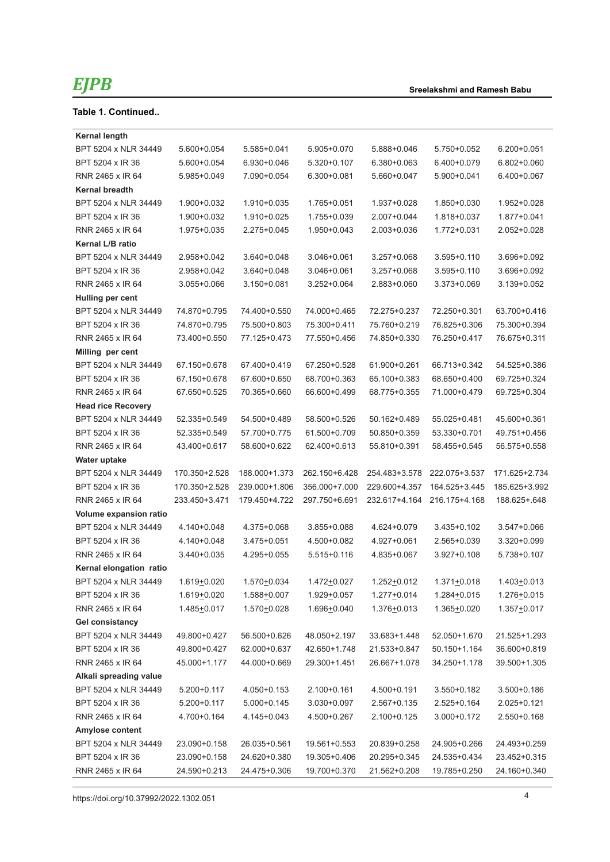### **Table 1. Continued..**

| <b>Kernal length</b><br>BPT 5204 x NLR 34449<br>5.600+0.054<br>5.585+0.041<br>5.905+0.070<br>5.888+0.046<br>5.750+0.052<br>$6.200 + 0.051$<br>BPT 5204 x IR 36<br>6.930+0.046<br>$5.320 + 0.107$<br>6.380+0.063<br>6.400+0.079<br>$6.802 + 0.060$<br>5.600+0.054<br>RNR 2465 x IR 64<br>7.090+0.054<br>5.660+0.047<br>5.900+0.041<br>6.400+0.067<br>5.985+0.049<br>6.300+0.081<br><b>Kernal breadth</b><br>BPT 5204 x NLR 34449<br>1.900+0.032<br>1.910+0.035<br>1.765+0.051<br>1.937+0.028<br>1.850+0.030<br>1.952+0.028<br>BPT 5204 x IR 36<br>1.900+0.032<br>1.910+0.025<br>1.755+0.039<br>2.007+0.044<br>1.818+0.037<br>1.877+0.041<br>RNR 2465 x IR 64<br>1.975+0.035<br>2.275+0.045<br>1.950+0.043<br>2.003+0.036<br>1.772+0.031<br>$2.052 + 0.028$<br>Kernal L/B ratio<br>BPT 5204 x NLR 34449<br>$3.595 + 0.110$<br>2.958+0.042<br>$3.640 + 0.048$<br>3.046+0.061<br>3.257+0.068<br>3.696+0.092 |
|---------------------------------------------------------------------------------------------------------------------------------------------------------------------------------------------------------------------------------------------------------------------------------------------------------------------------------------------------------------------------------------------------------------------------------------------------------------------------------------------------------------------------------------------------------------------------------------------------------------------------------------------------------------------------------------------------------------------------------------------------------------------------------------------------------------------------------------------------------------------------------------------------------|
|                                                                                                                                                                                                                                                                                                                                                                                                                                                                                                                                                                                                                                                                                                                                                                                                                                                                                                         |
|                                                                                                                                                                                                                                                                                                                                                                                                                                                                                                                                                                                                                                                                                                                                                                                                                                                                                                         |
|                                                                                                                                                                                                                                                                                                                                                                                                                                                                                                                                                                                                                                                                                                                                                                                                                                                                                                         |
|                                                                                                                                                                                                                                                                                                                                                                                                                                                                                                                                                                                                                                                                                                                                                                                                                                                                                                         |
|                                                                                                                                                                                                                                                                                                                                                                                                                                                                                                                                                                                                                                                                                                                                                                                                                                                                                                         |
|                                                                                                                                                                                                                                                                                                                                                                                                                                                                                                                                                                                                                                                                                                                                                                                                                                                                                                         |
|                                                                                                                                                                                                                                                                                                                                                                                                                                                                                                                                                                                                                                                                                                                                                                                                                                                                                                         |
|                                                                                                                                                                                                                                                                                                                                                                                                                                                                                                                                                                                                                                                                                                                                                                                                                                                                                                         |
|                                                                                                                                                                                                                                                                                                                                                                                                                                                                                                                                                                                                                                                                                                                                                                                                                                                                                                         |
|                                                                                                                                                                                                                                                                                                                                                                                                                                                                                                                                                                                                                                                                                                                                                                                                                                                                                                         |
| BPT 5204 x IR 36<br>2.958+0.042<br>$3.640 + 0.048$<br>3.046+0.061<br>$3.257 + 0.068$<br>$3.595 + 0.110$<br>3.696+0.092                                                                                                                                                                                                                                                                                                                                                                                                                                                                                                                                                                                                                                                                                                                                                                                  |
| RNR 2465 x IR 64<br>$3.055 + 0.066$<br>$3.150 + 0.081$<br>$3.252 + 0.064$<br>2.883+0.060<br>3.373+0.069<br>3.139+0.052                                                                                                                                                                                                                                                                                                                                                                                                                                                                                                                                                                                                                                                                                                                                                                                  |
| Hulling per cent                                                                                                                                                                                                                                                                                                                                                                                                                                                                                                                                                                                                                                                                                                                                                                                                                                                                                        |
| BPT 5204 x NLR 34449<br>74.870+0.795<br>74.400+0.550<br>74.000+0.465<br>72.250+0.301<br>63.700+0.416<br>72.275+0.237                                                                                                                                                                                                                                                                                                                                                                                                                                                                                                                                                                                                                                                                                                                                                                                    |
| BPT 5204 x IR 36<br>75.300+0.411<br>74.870+0.795<br>75.500+0.803<br>75.760+0.219<br>76.825+0.306<br>75.300+0.394                                                                                                                                                                                                                                                                                                                                                                                                                                                                                                                                                                                                                                                                                                                                                                                        |
| RNR 2465 x IR 64<br>77.125+0.473<br>77.550+0.456<br>74.850+0.330<br>76.675+0.311<br>73.400+0.550<br>76.250+0.417                                                                                                                                                                                                                                                                                                                                                                                                                                                                                                                                                                                                                                                                                                                                                                                        |
| Milling per cent                                                                                                                                                                                                                                                                                                                                                                                                                                                                                                                                                                                                                                                                                                                                                                                                                                                                                        |
| BPT 5204 x NLR 34449<br>67.150+0.678<br>67.400+0.419<br>67.250+0.528<br>61.900+0.261<br>66.713+0.342<br>54.525+0.386                                                                                                                                                                                                                                                                                                                                                                                                                                                                                                                                                                                                                                                                                                                                                                                    |
| BPT 5204 x IR 36<br>67.150+0.678<br>67.600+0.650<br>68.700+0.363<br>65.100+0.383<br>68.650+0.400<br>69.725+0.324                                                                                                                                                                                                                                                                                                                                                                                                                                                                                                                                                                                                                                                                                                                                                                                        |
| RNR 2465 x IR 64<br>71.000+0.479<br>67.650+0.525<br>70.365+0.660<br>66.600+0.499<br>68.775+0.355<br>69.725+0.304                                                                                                                                                                                                                                                                                                                                                                                                                                                                                                                                                                                                                                                                                                                                                                                        |
| <b>Head rice Recovery</b>                                                                                                                                                                                                                                                                                                                                                                                                                                                                                                                                                                                                                                                                                                                                                                                                                                                                               |
| BPT 5204 x NLR 34449<br>52.335+0.549<br>54.500+0.489<br>58.500+0.526<br>50.162+0.489<br>55.025+0.481<br>45.600+0.361                                                                                                                                                                                                                                                                                                                                                                                                                                                                                                                                                                                                                                                                                                                                                                                    |
| BPT 5204 x IR 36<br>52.335+0.549<br>57.700+0.775<br>61.500+0.709<br>50.850+0.359<br>53.330+0.701<br>49.751+0.456                                                                                                                                                                                                                                                                                                                                                                                                                                                                                                                                                                                                                                                                                                                                                                                        |
| RNR 2465 x IR 64<br>43.400+0.617<br>58.600+0.622<br>62.400+0.613<br>55.810+0.391<br>58.455+0.545<br>56.575+0.558                                                                                                                                                                                                                                                                                                                                                                                                                                                                                                                                                                                                                                                                                                                                                                                        |
| Water uptake                                                                                                                                                                                                                                                                                                                                                                                                                                                                                                                                                                                                                                                                                                                                                                                                                                                                                            |
| BPT 5204 x NLR 34449<br>170.350+2.528<br>188.000+1.373<br>262.150+6.428<br>254.483+3.578<br>222.075+3.537<br>171.625+2.734                                                                                                                                                                                                                                                                                                                                                                                                                                                                                                                                                                                                                                                                                                                                                                              |
| BPT 5204 x IR 36<br>170.350+2.528<br>239.000+1.806<br>356.000+7.000<br>229.600+4.357<br>164.525+3.445<br>185.625+3.992                                                                                                                                                                                                                                                                                                                                                                                                                                                                                                                                                                                                                                                                                                                                                                                  |
| RNR 2465 x IR 64<br>233.450+3.471<br>179.450+4.722<br>297.750+6.691<br>232.617+4.164<br>216.175+4.168<br>188.625+.648                                                                                                                                                                                                                                                                                                                                                                                                                                                                                                                                                                                                                                                                                                                                                                                   |
| Volume expansion ratio                                                                                                                                                                                                                                                                                                                                                                                                                                                                                                                                                                                                                                                                                                                                                                                                                                                                                  |
| BPT 5204 x NLR 34449<br>4.140+0.048<br>4.375+0.068<br>3.855+0.088<br>4.624+0.079<br>3.435+0.102<br>$3.547 + 0.066$                                                                                                                                                                                                                                                                                                                                                                                                                                                                                                                                                                                                                                                                                                                                                                                      |
| BPT 5204 x IR 36<br>4.140+0.048<br>3.475+0.051<br>4.500+0.082<br>4.927+0.061<br>2.565+0.039<br>$3.320 + 0.099$                                                                                                                                                                                                                                                                                                                                                                                                                                                                                                                                                                                                                                                                                                                                                                                          |
| RNR 2465 x IR 64<br>$3.440 + 0.035$<br>4.295+0.055<br>$5.515 + 0.116$<br>4.835+0.067<br>3.927+0.108<br>5.738+0.107                                                                                                                                                                                                                                                                                                                                                                                                                                                                                                                                                                                                                                                                                                                                                                                      |
| Kernal elongation ratio                                                                                                                                                                                                                                                                                                                                                                                                                                                                                                                                                                                                                                                                                                                                                                                                                                                                                 |
| BPT 5204 x NLR 34449<br>$1.570 + 0.034$<br>1.472±0.027<br>1.252+0.012<br>$1.371 \pm 0.018$<br>1.403±0.013<br>1.619 <u>+</u> 0.020                                                                                                                                                                                                                                                                                                                                                                                                                                                                                                                                                                                                                                                                                                                                                                       |
| 1.619+0.020<br>1.284+0.015<br>BPT 5204 x IR 36<br>$1.588 + 0.007$<br>$1.929 + 0.057$<br>1.277+0.014<br>1.276±0.015                                                                                                                                                                                                                                                                                                                                                                                                                                                                                                                                                                                                                                                                                                                                                                                      |
| 1.485+0.017<br>1.570+0.028<br>1.696+0.040<br>1.376+0.013<br>$1.365 \pm 0.020$<br>$1.357 + 0.017$<br>RNR 2465 x IR 64                                                                                                                                                                                                                                                                                                                                                                                                                                                                                                                                                                                                                                                                                                                                                                                    |
| Gel consistancy                                                                                                                                                                                                                                                                                                                                                                                                                                                                                                                                                                                                                                                                                                                                                                                                                                                                                         |
| BPT 5204 x NLR 34449<br>49.800+0.427<br>56.500+0.626<br>48.050+2.197<br>33.683+1.448<br>52.050+1.670<br>21.525+1.293                                                                                                                                                                                                                                                                                                                                                                                                                                                                                                                                                                                                                                                                                                                                                                                    |
| BPT 5204 x IR 36<br>49.800+0.427<br>62.000+0.637<br>42.650+1.748<br>50.150+1.164<br>36.600+0.819<br>21.533+0.847                                                                                                                                                                                                                                                                                                                                                                                                                                                                                                                                                                                                                                                                                                                                                                                        |
| RNR 2465 x IR 64<br>45.000+1.177<br>44.000+0.669<br>29.300+1.451<br>26.667+1.078<br>34.250+1.178<br>39.500+1.305                                                                                                                                                                                                                                                                                                                                                                                                                                                                                                                                                                                                                                                                                                                                                                                        |
| Alkali spreading value                                                                                                                                                                                                                                                                                                                                                                                                                                                                                                                                                                                                                                                                                                                                                                                                                                                                                  |
| BPT 5204 x NLR 34449<br>$2.100 + 0.161$<br>4.500+0.191<br>5.200+0.117<br>4.050+0.153<br>3.550+0.182<br>$3.500 + 0.186$                                                                                                                                                                                                                                                                                                                                                                                                                                                                                                                                                                                                                                                                                                                                                                                  |
| $5.000 + 0.145$<br>3.030+0.097<br>2.567+0.135<br>2.525+0.164<br>BPT 5204 x IR 36<br>5.200+0.117<br>2.025+0.121                                                                                                                                                                                                                                                                                                                                                                                                                                                                                                                                                                                                                                                                                                                                                                                          |
| RNR 2465 x IR 64<br>4.145+0.043<br>4.700+0.164<br>4.500+0.267<br>2.100+0.125<br>3.000+0.172<br>$2.550 + 0.168$                                                                                                                                                                                                                                                                                                                                                                                                                                                                                                                                                                                                                                                                                                                                                                                          |
| Amylose content                                                                                                                                                                                                                                                                                                                                                                                                                                                                                                                                                                                                                                                                                                                                                                                                                                                                                         |
| BPT 5204 x NLR 34449<br>23.090+0.158<br>26.035+0.561<br>19.561+0.553<br>20.839+0.258<br>24.905+0.266<br>24.493+0.259                                                                                                                                                                                                                                                                                                                                                                                                                                                                                                                                                                                                                                                                                                                                                                                    |
| BPT 5204 x IR 36<br>23.090+0.158<br>24.620+0.380<br>19.305+0.406<br>20.295+0.345<br>24.535+0.434<br>23.452+0.315                                                                                                                                                                                                                                                                                                                                                                                                                                                                                                                                                                                                                                                                                                                                                                                        |
| RNR 2465 x IR 64<br>24.590+0.213<br>24.475+0.306<br>19.700+0.370<br>21.562+0.208<br>19.785+0.250<br>24.160+0.340                                                                                                                                                                                                                                                                                                                                                                                                                                                                                                                                                                                                                                                                                                                                                                                        |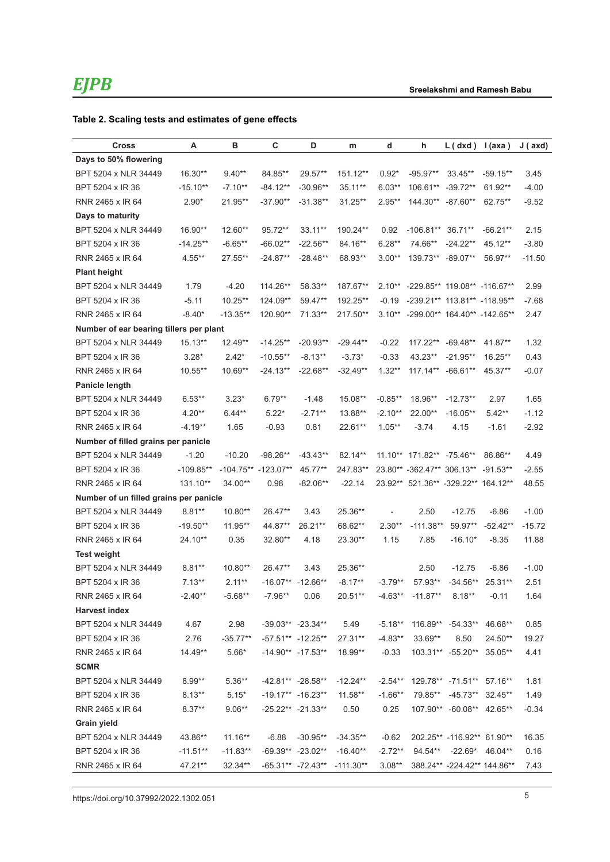### **Table 2. Scaling tests and estimates of gene effects**

| <b>Cross</b>                            | Α           | в                   | С                   | D                     | m           | d          | h                                   | $L(dxd)$ $l(axa)$           |                    | J (axd)  |
|-----------------------------------------|-------------|---------------------|---------------------|-----------------------|-------------|------------|-------------------------------------|-----------------------------|--------------------|----------|
| Days to 50% flowering                   |             |                     |                     |                       |             |            |                                     |                             |                    |          |
| BPT 5204 x NLR 34449                    | $16.30**$   | $9.40**$            | 84.85**             | 29.57**               | 151.12**    | $0.92*$    | $-95.97**$                          | 33.45**                     | $-59.15**$         | 3.45     |
| BPT 5204 x IR 36                        | $-15.10**$  | $-7.10**$           | $-84.12**$          | $-30.96**$            | 35.11**     | $6.03**$   | 106.61** -39.72**                   |                             | 61.92**            | $-4.00$  |
| RNR 2465 x IR 64                        | $2.90*$     | 21.95**             | $-37.90**$          | $-31.38**$            | 31.25**     | $2.95**$   | 144.30** -87.60**                   |                             | 62.75**            | $-9.52$  |
| Days to maturity                        |             |                     |                     |                       |             |            |                                     |                             |                    |          |
| BPT 5204 x NLR 34449                    | $16.90**$   | $12.60**$           | 95.72**             | 33.11**               | 190.24**    | 0.92       | $-106.81**$ 36.71**                 |                             | $-66.21**$         | 2.15     |
| BPT 5204 x IR 36                        | $-14.25**$  | $-6.65**$           | $-66.02**$          | $-22.56**$            | 84.16**     | $6.28**$   | 74.66**                             | $-24.22**$                  | 45.12**            | $-3.80$  |
| RNR 2465 x IR 64                        | $4.55**$    | 27.55**             | $-24.87**$          | $-28.48**$            | 68.93**     | $3.00**$   | 139.73** -89.07**                   |                             | 56.97**            | $-11.50$ |
| <b>Plant height</b>                     |             |                     |                     |                       |             |            |                                     |                             |                    |          |
| BPT 5204 x NLR 34449                    | 1.79        | $-4.20$             | 114.26**            | 58.33**               | 187.67**    |            | 2.10** -229.85** 119.08** -116.67** |                             |                    | 2.99     |
| BPT 5204 x IR 36                        | $-5.11$     | 10.25**             | 124.09**            | 59.47**               | 192.25**    | $-0.19$    | -239.21** 113.81** -118.95**        |                             |                    | $-7.68$  |
| RNR 2465 x IR 64                        | $-8.40*$    | $-13.35**$          | 120.90**            | $71.33**$             | 217.50**    |            | 3.10** -299.00** 164.40** -142.65** |                             |                    | 2.47     |
| Number of ear bearing tillers per plant |             |                     |                     |                       |             |            |                                     |                             |                    |          |
| BPT 5204 x NLR 34449                    | $15.13**$   | 12.49**             | $-14.25**$          | $-20.93**$            | $-29.44**$  | $-0.22$    | 117.22** -69.48**                   |                             | 41.87**            | 1.32     |
| BPT 5204 x IR 36                        | $3.28*$     | $2.42*$             | $-10.55**$          | $-8.13**$             | $-3.73*$    | $-0.33$    | 43.23**                             | $-21.95**$                  | 16.25**            | 0.43     |
| RNR 2465 x IR 64                        | $10.55**$   | 10.69**             | $-24.13**$          | $-22.68**$            | $-32.49**$  | $1.32**$   | 117.14** -66.61**                   |                             | 45.37**            | $-0.07$  |
| <b>Panicle length</b>                   |             |                     |                     |                       |             |            |                                     |                             |                    |          |
| BPT 5204 x NLR 34449                    | $6.53**$    | $3.23*$             | $6.79**$            | $-1.48$               | 15.08**     | $-0.85**$  | 18.96**                             | $-12.73**$                  | 2.97               | 1.65     |
| BPT 5204 x IR 36                        | $4.20**$    | $6.44**$            | $5.22*$             | $-2.71**$             | 13.88**     | $-2.10**$  | 22.00**                             | $-16.05**$                  | $5.42**$           | $-1.12$  |
| RNR 2465 x IR 64                        | $-4.19**$   | 1.65                | $-0.93$             | 0.81                  | 22.61**     | $1.05**$   | $-3.74$                             | 4.15                        | $-1.61$            | $-2.92$  |
| Number of filled grains per panicle     |             |                     |                     |                       |             |            |                                     |                             |                    |          |
| BPT 5204 x NLR 34449                    | $-1.20$     | $-10.20$            | $-98.26**$          | $-43.43**$            | 82.14**     |            | 11.10** 171.82** -75.46**           |                             | 86.86**            | 4.49     |
| BPT 5204 x IR 36                        | $-109.85**$ | -104.75** -123.07** |                     | 45.77**               | 247.83**    |            | 23.80** -362.47** 306.13** -91.53** |                             |                    | $-2.55$  |
| RNR 2465 x IR 64                        | 131.10**    | 34.00**             | 0.98                | $-82.06**$            | -22.14      |            | 23.92** 521.36** -329.22** 164.12** |                             |                    | 48.55    |
| Number of un filled grains per panicle  |             |                     |                     |                       |             |            |                                     |                             |                    |          |
| BPT 5204 x NLR 34449                    | $8.81**$    | $10.80**$           | 26.47**             | 3.43                  | 25.36**     |            | 2.50                                | $-12.75$                    | $-6.86$            | $-1.00$  |
| BPT 5204 x IR 36                        | $-19.50**$  | 11.95**             | 44.87**             | 26.21**               | 68.62**     | $2.30**$   | $-111.38**$                         | 59.97**                     | $-52.42**$         | $-15.72$ |
| RNR 2465 x IR 64                        | 24.10**     | 0.35                | 32.80**             | 4.18                  | 23.30**     | 1.15       | 7.85                                | $-16.10*$                   | $-8.35$            | 11.88    |
| <b>Test weight</b>                      |             |                     |                     |                       |             |            |                                     |                             |                    |          |
| BPT 5204 x NLR 34449                    | $8.81**$    | $10.80**$           | 26.47**             | 3.43                  | 25.36**     |            | 2.50                                | $-12.75$                    | $-6.86$            | $-1.00$  |
| BPT 5204 x IR 36                        | $7.13**$    | $2.11**$            | $-16.07**$          | $-12.66**$            | $-8.17**$   | $-3.79**$  | 57.93**                             | $-34.56**$                  | 25.31**            | 2.51     |
| RNR 2465 x IR 64                        | $-2.40**$   | $-5.68**$           | $-7.96**$           | 0.06                  | 20.51**     | $-4.63**$  | $-11.87**$                          | $8.18***$                   | $-0.11$            | 1.64     |
| <b>Harvest index</b>                    |             |                     |                     |                       |             |            |                                     |                             |                    |          |
| BPT 5204 x NLR 34449                    | 4.67        | 2.98                |                     | $-39.03**$ $-23.34**$ | 5.49        | $-5.18**$  |                                     | 116.89** -54.33** 46.68**   |                    | 0.85     |
| BPT 5204 x IR 36                        | 2.76        | $-35.77**$          | $-57.51** -12.25**$ |                       | $27.31**$   | $-4.83**$  | 33.69**                             | 8.50                        | 24.50**            | 19.27    |
| RNR 2465 x IR 64                        | 14.49**     | $5.66*$             |                     | $-14.90** -17.53**$   | 18.99**     | $-0.33$    |                                     | 103.31** -55.20** 35.05**   |                    | 4.41     |
| <b>SCMR</b>                             |             |                     |                     |                       |             |            |                                     |                             |                    |          |
| BPT 5204 x NLR 34449                    | $8.99**$    | $5.36**$            | -42.81** -28.58**   |                       | $-12.24**$  | $-2.54***$ |                                     | 129.78** -71.51** 57.16**   |                    | 1.81     |
| BPT 5204 x IR 36                        | $8.13**$    | $5.15*$             |                     | $-19.17**$ $-16.23**$ | $11.58**$   | $-1.66**$  | 79.85**                             |                             | $-45.73**$ 32.45** | 1.49     |
| RNR 2465 x IR 64                        | $8.37**$    | $9.06**$            |                     | $-25.22** -21.33**$   | 0.50        | 0.25       |                                     | 107.90** -60.08** 42.65**   |                    | $-0.34$  |
| <b>Grain yield</b>                      |             |                     |                     |                       |             |            |                                     |                             |                    |          |
| BPT 5204 x NLR 34449                    | 43.86**     | $11.16**$           | $-6.88$             | $-30.95**$            | $-34.35**$  | $-0.62$    |                                     | 202.25** -116.92** 61.90**  |                    | 16.35    |
| BPT 5204 x IR 36                        | $-11.51**$  | $-11.83**$          |                     | $-69.39** -23.02**$   | $-16.40**$  | $-2.72**$  | 94.54**                             | -22.69*                     | 46.04**            | 0.16     |
| RNR 2465 x IR 64                        | 47.21**     | 32.34**             |                     | $-65.31**$ $-72.43**$ | $-111.30**$ | $3.08**$   |                                     | 388.24** -224.42** 144.86** |                    | 7.43     |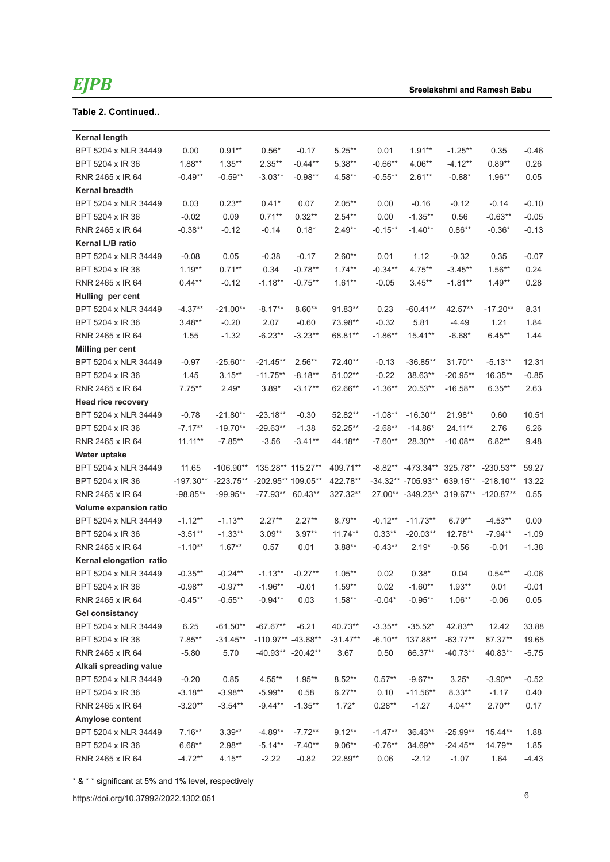### **Table 2. Continued..**

| <b>Kernal length</b>    |             |             |                     |           |            |           |                                      |            |             |         |
|-------------------------|-------------|-------------|---------------------|-----------|------------|-----------|--------------------------------------|------------|-------------|---------|
| BPT 5204 x NLR 34449    | 0.00        | $0.91**$    | $0.56*$             | $-0.17$   | $5.25***$  | 0.01      | $1.91**$                             | $-1.25**$  | 0.35        | $-0.46$ |
| BPT 5204 x IR 36        | $1.88**$    | $1.35**$    | $2.35***$           | $-0.44**$ | $5.38**$   | $-0.66**$ | $4.06**$                             | $-4.12**$  | $0.89**$    | 0.26    |
| RNR 2465 x IR 64        | $-0.49**$   | $-0.59**$   | $-3.03**$           | $-0.98**$ | 4.58**     | $-0.55**$ | $2.61**$                             | $-0.88*$   | $1.96**$    | 0.05    |
| <b>Kernal breadth</b>   |             |             |                     |           |            |           |                                      |            |             |         |
| BPT 5204 x NLR 34449    | 0.03        | $0.23**$    | $0.41*$             | 0.07      | $2.05**$   | 0.00      | $-0.16$                              | $-0.12$    | $-0.14$     | $-0.10$ |
| BPT 5204 x IR 36        | $-0.02$     | 0.09        | $0.71**$            | $0.32**$  | $2.54**$   | 0.00      | $-1.35**$                            | 0.56       | $-0.63**$   | $-0.05$ |
| RNR 2465 x IR 64        | $-0.38**$   | $-0.12$     | $-0.14$             | $0.18*$   | 2.49**     | $-0.15**$ | $-1.40**$                            | $0.86**$   | $-0.36*$    | $-0.13$ |
| Kernal L/B ratio        |             |             |                     |           |            |           |                                      |            |             |         |
| BPT 5204 x NLR 34449    | $-0.08$     | 0.05        | $-0.38$             | $-0.17$   | $2.60**$   | 0.01      | 1.12                                 | $-0.32$    | 0.35        | $-0.07$ |
| BPT 5204 x IR 36        | $1.19**$    | $0.71**$    | 0.34                | $-0.78**$ | $1.74**$   | $-0.34**$ | $4.75***$                            | $-3.45**$  | $1.56**$    | 0.24    |
| RNR 2465 x IR 64        | $0.44**$    | $-0.12$     | $-1.18**$           | $-0.75**$ | $1.61**$   | $-0.05$   | $3.45**$                             | $-1.81**$  | $1.49**$    | 0.28    |
| Hulling per cent        |             |             |                     |           |            |           |                                      |            |             |         |
| BPT 5204 x NLR 34449    | $-4.37**$   | $-21.00**$  | $-8.17**$           | $8.60**$  | 91.83**    | 0.23      | $-60.41**$                           | 42.57**    | $-17.20**$  | 8.31    |
| BPT 5204 x IR 36        | $3.48**$    | $-0.20$     | 2.07                | $-0.60$   | 73.98**    | $-0.32$   | 5.81                                 | $-4.49$    | 1.21        | 1.84    |
| RNR 2465 x IR 64        | 1.55        | $-1.32$     | $-6.23**$           | $-3.23**$ | 68.81**    | $-1.86**$ | 15.41**                              | $-6.68*$   | $6.45**$    | 1.44    |
| <b>Milling per cent</b> |             |             |                     |           |            |           |                                      |            |             |         |
| BPT 5204 x NLR 34449    | $-0.97$     | $-25.60**$  | $-21.45**$          | $2.56**$  | 72.40**    | $-0.13$   | $-36.85**$                           | $31.70**$  | $-5.13**$   | 12.31   |
| BPT 5204 x IR 36        | 1.45        | $3.15***$   | $-11.75**$          | $-8.18**$ | $51.02**$  | $-0.22$   | 38.63**                              | $-20.95**$ | 16.35**     | $-0.85$ |
| RNR 2465 x IR 64        | $7.75***$   | $2.49*$     | $3.89*$             | $-3.17**$ | 62.66**    | $-1.36**$ | 20.53**                              | $-16.58**$ | $6.35***$   | 2.63    |
| Head rice recovery      |             |             |                     |           |            |           |                                      |            |             |         |
| BPT 5204 x NLR 34449    | $-0.78$     | $-21.80**$  | $-23.18**$          | $-0.30$   | 52.82**    | $-1.08**$ | $-16.30**$                           | 21.98**    | 0.60        | 10.51   |
| BPT 5204 x IR 36        | $-7.17**$   | $-19.70**$  | $-29.63**$          | $-1.38$   | $52.25**$  | $-2.68**$ | $-14.86*$                            | 24.11**    | 2.76        | 6.26    |
| RNR 2465 x IR 64        | $11.11***$  | $-7.85**$   | $-3.56$             | $-3.41**$ | 44.18**    | $-7.60**$ | 28.30**                              | $-10.08**$ | $6.82**$    | 9.48    |
| Water uptake            |             |             |                     |           |            |           |                                      |            |             |         |
| BPT 5204 x NLR 34449    | 11.65       | $-106.90**$ | 135.28** 115.27**   |           | 409.71**   | $-8.82**$ | $-473.34**$                          | 325.78**   | $-230.53**$ | 59.27   |
| BPT 5204 x IR 36        | $-197.30**$ | $-223.75**$ | -202.95** 109.05**  |           | 422.78**   |           | -34.32** -705.93** 639.15**          |            | $-218.10**$ | 13.22   |
| RNR 2465 x IR 64        | $-98.85**$  | $-99.95**$  | $-77.93**$ 60.43**  |           | 327.32**   |           | 27.00** -349.23** 319.67** -120.87** |            |             | 0.55    |
| Volume expansion ratio  |             |             |                     |           |            |           |                                      |            |             |         |
| BPT 5204 x NLR 34449    | $-1.12**$   | $-1.13**$   | $2.27**$            | $2.27**$  | $8.79**$   | $-0.12**$ | $-11.73**$                           | $6.79**$   | $-4.53**$   | 0.00    |
| BPT 5204 x IR 36        | $-3.51**$   | $-1.33**$   | $3.09**$            | $3.97**$  | $11.74**$  | $0.33**$  | $-20.03**$                           | 12.78**    | $-7.94**$   | $-1.09$ |
| RNR 2465 x IR 64        | $-1.10**$   | $1.67**$    | 0.57                | 0.01      | $3.88**$   | $-0.43**$ | $2.19*$                              | $-0.56$    | $-0.01$     | $-1.38$ |
| Kernal elongation ratio |             |             |                     |           |            |           |                                      |            |             |         |
| BPT 5204 x NLR 34449    | $-0.35**$   | $-0.24**$   | $-1.13**$           | $-0.27**$ | $1.05***$  | 0.02      | $0.38*$                              | 0.04       | $0.54**$    | $-0.06$ |
| BPT 5204 x IR 36        | $-0.98**$   | $-0.97**$   | $-1.96**$           | $-0.01$   | $1.59**$   | 0.02      | $-1.60**$                            | $1.93**$   | 0.01        | $-0.01$ |
| RNR 2465 x IR 64        | $-0.45**$   | $-0.55**$   | $-0.94**$           | 0.03      | $1.58**$   | $-0.04*$  | $-0.95**$                            | $1.06**$   | $-0.06$     | 0.05    |
| Gel consistancy         |             |             |                     |           |            |           |                                      |            |             |         |
| BPT 5204 x NLR 34449    | 6.25        | $-61.50**$  | $-67.67**$          | $-6.21$   | 40.73**    | $-3.35**$ | $-35.52*$                            | 42.83**    | 12.42       | 33.88   |
| BPT 5204 x IR 36        | $7.85**$    | $-31.45**$  | -110.97** -43.68**  |           | $-31.47**$ | $-6.10**$ | 137.88**                             | $-63.77**$ | 87.37**     | 19.65   |
| RNR 2465 x IR 64        | $-5.80$     | 5.70        | $-40.93** -20.42**$ |           | 3.67       | 0.50      | 66.37**                              | $-40.73**$ | 40.83**     | $-5.75$ |
| Alkali spreading value  |             |             |                     |           |            |           |                                      |            |             |         |
| BPT 5204 x NLR 34449    | $-0.20$     | 0.85        | $4.55***$           | $1.95**$  | $8.52**$   | $0.57**$  | $-9.67**$                            | $3.25*$    | $-3.90**$   | $-0.52$ |
| BPT 5204 x IR 36        | $-3.18**$   | $-3.98**$   | $-5.99**$           | 0.58      | $6.27**$   | 0.10      | $-11.56**$                           | $8.33**$   | $-1.17$     | 0.40    |
| RNR 2465 x IR 64        | $-3.20**$   | $-3.54**$   | $-9.44**$           | $-1.35**$ | $1.72*$    | $0.28**$  | $-1.27$                              | $4.04**$   | $2.70**$    | 0.17    |
| Amylose content         |             |             |                     |           |            |           |                                      |            |             |         |
| BPT 5204 x NLR 34449    | $7.16**$    | $3.39**$    | $-4.89**$           | $-7.72**$ | $9.12**$   | $-1.47**$ | 36.43**                              | $-25.99**$ | 15.44**     | 1.88    |
| BPT 5204 x IR 36        | $6.68**$    | $2.98**$    | $-5.14**$           | $-7.40**$ | $9.06**$   | $-0.76**$ | 34.69**                              | $-24.45**$ | 14.79**     | 1.85    |
| RNR 2465 x IR 64        | $-4.72**$   | $4.15***$   | $-2.22$             | $-0.82$   | 22.89**    | 0.06      | $-2.12$                              | $-1.07$    | 1.64        | $-4.43$ |

\* & \* \* significant at 5% and 1% level, respectively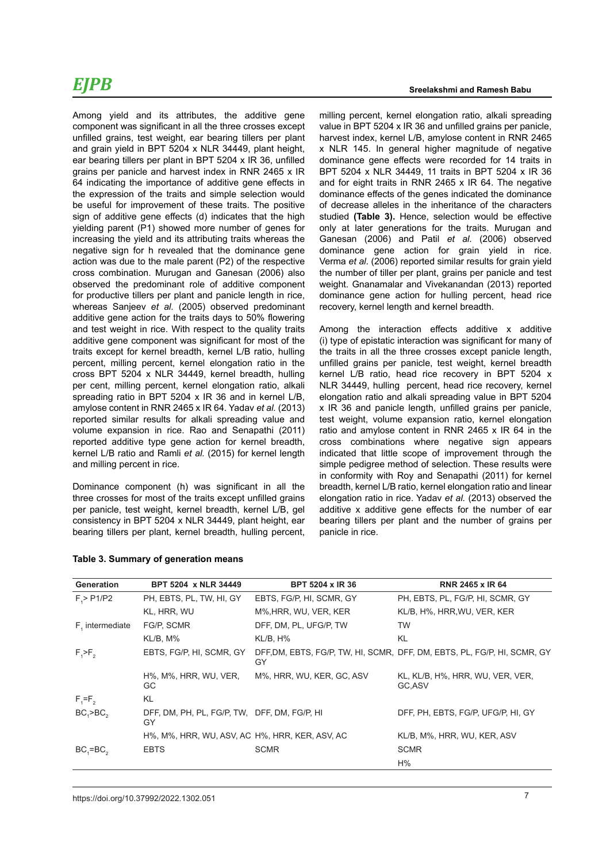Among yield and its attributes, the additive gene component was significant in all the three crosses except unfilled grains, test weight, ear bearing tillers per plant and grain yield in BPT 5204 x NLR 34449, plant height, ear bearing tillers per plant in BPT 5204 x IR 36, unfilled grains per panicle and harvest index in RNR 2465 x IR 64 indicating the importance of additive gene effects in the expression of the traits and simple selection would be useful for improvement of these traits. The positive sign of additive gene effects (d) indicates that the high yielding parent (P1) showed more number of genes for increasing the yield and its attributing traits whereas the negative sign for h revealed that the dominance gene action was due to the male parent (P2) of the respective cross combination. Murugan and Ganesan (2006) also observed the predominant role of additive component for productive tillers per plant and panicle length in rice, whereas Sanjeev *et al.* (2005) observed predominant additive gene action for the traits days to 50% flowering and test weight in rice. With respect to the quality traits additive gene component was significant for most of the traits except for kernel breadth, kernel L/B ratio, hulling percent, milling percent, kernel elongation ratio in the cross BPT 5204 x NLR 34449, kernel breadth, hulling per cent, milling percent, kernel elongation ratio, alkali spreading ratio in BPT 5204 x IR 36 and in kernel L/B, amylose content in RNR 2465 x IR 64. Yadav *et al.* (2013) reported similar results for alkali spreading value and volume expansion in rice. Rao and Senapathi (2011) reported additive type gene action for kernel breadth, kernel L/B ratio and Ramli *et al.* (2015) for kernel length and milling percent in rice.

Dominance component (h) was significant in all the three crosses for most of the traits except unfilled grains per panicle, test weight, kernel breadth, kernel L/B, gel consistency in BPT 5204 x NLR 34449, plant height, ear bearing tillers per plant, kernel breadth, hulling percent, milling percent, kernel elongation ratio, alkali spreading value in BPT 5204 x IR 36 and unfilled grains per panicle, harvest index, kernel L/B, amylose content in RNR 2465 x NLR 145. In general higher magnitude of negative dominance gene effects were recorded for 14 traits in BPT 5204 x NLR 34449, 11 traits in BPT 5204 x IR 36 and for eight traits in RNR 2465 x IR 64. The negative dominance effects of the genes indicated the dominance of decrease alleles in the inheritance of the characters studied **(Table 3).** Hence, selection would be effective only at later generations for the traits. Murugan and Ganesan (2006) and Patil *et al.* (2006) observed dominance gene action for grain yield in rice. Verma *et al*. (2006) reported similar results for grain yield the number of tiller per plant, grains per panicle and test weight. Gnanamalar and Vivekanandan (2013) reported dominance gene action for hulling percent, head rice recovery, kernel length and kernel breadth.

Among the interaction effects additive x additive (i) type of epistatic interaction was significant for many of the traits in all the three crosses except panicle length, unfilled grains per panicle, test weight, kernel breadth kernel L/B ratio, head rice recovery in BPT 5204 x NLR 34449, hulling percent, head rice recovery, kernel elongation ratio and alkali spreading value in BPT 5204 x IR 36 and panicle length, unfilled grains per panicle, test weight, volume expansion ratio, kernel elongation ratio and amylose content in RNR 2465 x IR 64 in the cross combinations where negative sign appears indicated that little scope of improvement through the simple pedigree method of selection. These results were in conformity with Roy and Senapathi (2011) for kernel breadth, kernel L/B ratio, kernel elongation ratio and linear elongation ratio in rice. Yadav *et al.* (2013) observed the additive x additive gene effects for the number of ear bearing tillers per plant and the number of grains per panicle in rice.

| <b>Generation</b> | BPT 5204 x NLR 34449                               | <b>BPT 5204 x IR 36</b>   | <b>RNR 2465 x IR 64</b>                                                  |
|-------------------|----------------------------------------------------|---------------------------|--------------------------------------------------------------------------|
| F > P1/P2         | PH, EBTS, PL, TW, HI, GY                           | EBTS, FG/P, HI, SCMR, GY  | PH, EBTS, PL, FG/P, HI, SCMR, GY                                         |
|                   | KL, HRR, WU                                        | M%, HRR, WU, VER, KER     | KL/B, H%, HRR, WU, VER, KER                                              |
| F, intermediate   | FG/P, SCMR                                         | DFF, DM, PL, UFG/P, TW    | TW                                                                       |
|                   | KL/B, M%                                           | KL/B, H%                  | KL                                                                       |
| $F_{1}$ > $F_{2}$ | EBTS, FG/P, HI, SCMR, GY                           | GY                        | DFF, DM, EBTS, FG/P, TW, HI, SCMR, DFF, DM, EBTS, PL, FG/P, HI, SCMR, GY |
|                   | H%, M%, HRR, WU, VER,<br>GC.                       | M%, HRR, WU, KER, GC, ASV | KL, KL/B, H%, HRR, WU, VER, VER,<br>GC.ASV                               |
| $F_1 = F_2$       | KL                                                 |                           |                                                                          |
| $BC3$ $BC2$       | DFF, DM, PH, PL, FG/P, TW, DFF, DM, FG/P, HI<br>GY |                           | DFF, PH, EBTS, FG/P, UFG/P, HI, GY                                       |
|                   | H%, M%, HRR, WU, ASV, AC H%, HRR, KER, ASV, AC     |                           | KL/B, M%, HRR, WU, KER, ASV                                              |
| $BC_1 = BC_2$     | <b>EBTS</b>                                        | <b>SCMR</b>               | <b>SCMR</b>                                                              |
|                   |                                                    |                           | H%                                                                       |

#### **Table 3. Summary of generation means**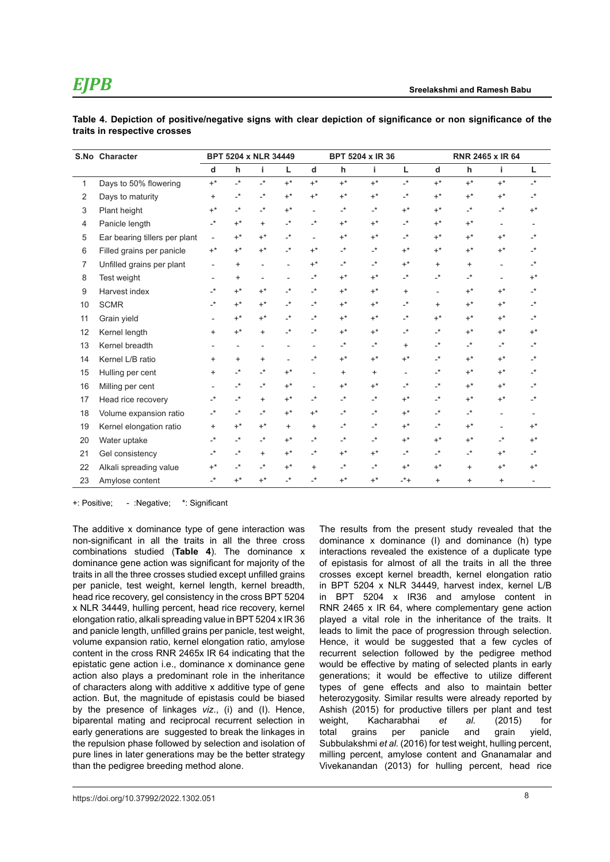|    | S.No Character                |                          |                            | <b>BPT 5204 x NLR 34449</b> |                            | <b>BPT 5204 x IR 36</b>    |                            |                |                      |                            | <b>RNR 2465 x IR 64</b> |                          |                            |
|----|-------------------------------|--------------------------|----------------------------|-----------------------------|----------------------------|----------------------------|----------------------------|----------------|----------------------|----------------------------|-------------------------|--------------------------|----------------------------|
|    |                               | d                        | h                          | i.                          | г                          | d                          | h                          | i.             | Г                    | $\mathbf d$                | h                       | i                        | Г                          |
| 1  | Days to 50% flowering         | $+^*$                    | $\cdot$                    | $\cdot^*$                   | $+^*$                      | $+^*$                      | $+^*$                      | $+^*$          | $\cdot^*$            | $+^*$                      | $+^*$                   | $+^*$                    | $\cdot^*$                  |
| 2  | Days to maturity              | $\ddot{}$                | $\cdot^*$                  | $\mathbf{r}$                | $+^*$                      | $+^*$                      | $+^*$                      | $+^*$          | $\mathbf{r}^{\star}$ | $+^*$                      | $+^*$                   | $+^*$                    | $\overline{\phantom{a}}^*$ |
| 3  | Plant height                  | $+^*$                    | $\overline{\phantom{a}}^*$ | $\mathbf{L}^{\star}$        | $+^*$                      |                            | $\mathbf{r}^*$             | $\mathbf{L}^*$ | $+^*$                | $+^*$                      | $\mathbf{r}^*$          | $\mathbf{L}^*$           | $+^*$                      |
| 4  | Panicle length                | $\cdot^*$                | $+^*$                      | $^{+}$                      | $\overline{\phantom{a}}^*$ | $\cdot^*$                  | $+^*$                      | $+^*$          | $\mathbf{r}^{\star}$ | $+^*$                      | $+^*$                   | $\overline{\phantom{a}}$ |                            |
| 5  | Ear bearing tillers per plant | $\overline{\phantom{a}}$ | $+^*$                      | $+^*$                       | $\cdot^*$                  |                            | $+^*$                      | $+^*$          | $\cdot^*$            | $+^*$                      | $+^*$                   | $+^*$                    | $\mathbf{r}$               |
| 6  | Filled grains per panicle     | $+^*$                    | $+^*$                      | $+^*$                       | $\cdot^*$                  | $+^*$                      | $\mathbf{r}^*$             | $\cdot^*$      | $+^*$                | $+^*$                      | $+^*$                   | $+^*$                    | $\cdot^*$                  |
| 7  | Unfilled grains per plant     |                          | $\ddot{}$                  |                             |                            | $+^*$                      | $\mathbf{r}^*$             | $\mathbf{L}^*$ | $+^*$                | $\ddot{}$                  | $\ddot{}$               |                          | $\cdot^*$                  |
| 8  | Test weight                   |                          | $\ddot{}$                  |                             |                            | $\overline{\phantom{a}}^*$ | $+^*$                      | $+^*$          | $\mathbf{r}^{\star}$ | $\mathbf{L}^{\star}$       | $\mathbf{r}^*$          |                          | $+^*$                      |
| 9  | Harvest index                 | $\cdot^*$                | $+^*$                      | $+^*$                       | $\cdot^*$                  | $\mathbf{r}$               | $+^*$                      | $+^*$          | +                    | $\overline{a}$             | $+^*$                   | $+^*$                    | $\mathbf{r}^*$             |
| 10 | <b>SCMR</b>                   | $\cdot^*$                | $+^*$                      | $+^*$                       | $\cdot^*$                  | $\mathbf{r}$               | $+^*$                      | $+^*$          | $\cdot^*$            | $\ddot{}$                  | $+^*$                   | $+^*$                    | $\mathbf{r}$               |
| 11 | Grain yield                   |                          | $+^*$                      | $+^*$                       | $\overline{\phantom{a}}^*$ | $\overline{\phantom{a}}^*$ | $+^*$                      | $+^*$          | $\mathbf{r}^{\star}$ | $+^*$                      | $+^*$                   | $+^*$                    | $\overline{\phantom{a}}^*$ |
| 12 | Kernel length                 | $\ddot{}$                | $+^*$                      | $\ddot{}$                   | $\cdot^*$                  | $\cdot^*$                  | $+^*$                      | $+^*$          | $\mathbf{r}^{\star}$ | $\overline{\phantom{a}}^*$ | $+^*$                   | $+^*$                    | $+^*$                      |
| 13 | Kernel breadth                |                          |                            |                             |                            |                            | $\overline{\phantom{a}}^*$ | $\cdot^*$      | $\ddot{}$            | $\overline{\phantom{a}}^*$ | $\mathbf{r}^*$          | $\cdot^*$                | $\mathbf{r}^*$             |
| 14 | Kernel L/B ratio              | $\ddot{}$                | $\ddot{}$                  | $\ddot{}$                   |                            | $\overline{\phantom{a}}^*$ | $+^*$                      | $+^*$          | $+^*$                | $\cdot^*$                  | $+^*$                   | $+^*$                    | $\mathbf{r}^*$             |
| 15 | Hulling per cent              | $\ddot{}$                | -*                         | -*                          | $+^*$                      |                            | $\ddot{}$                  | $\ddot{}$      | $\blacksquare$       | $\overline{\phantom{a}}^*$ | $+^*$                   | $+^*$                    | $\mathbf{r}^*$             |
| 16 | Milling per cent              |                          | $\cdot^*$                  | $\mathbf{L}^{\star}$        | $+^*$                      |                            | $+^*$                      | $+^*$          | $\mathbf{r}^{\star}$ | $\overline{\phantom{a}}^*$ | $+^*$                   | $+^*$                    | $\mathbf{r}^*$             |
| 17 | Head rice recovery            | $\cdot^*$                | $\overline{\phantom{a}}^*$ | $\ddot{}$                   | $+^*$                      | $\cdot^*$                  | $\mathbf{r}^*$             | $\mathbf{r}^*$ | $+^*$                | $\overline{\phantom{a}}^*$ | $+^*$                   | $+^*$                    | $\mathbf{r}^*$             |
| 18 | Volume expansion ratio        | $\cdot^*$                | $\overline{\phantom{a}}^*$ | $\cdot^*$                   | $+^*$                      | $+^*$                      | $\mathbf{r}^*$             | $\mathbf{r}^*$ | $+^*$                | $\overline{\phantom{a}}^*$ | $\mathbf{r}^*$          | $\overline{\phantom{a}}$ |                            |
| 19 | Kernel elongation ratio       | $\ddot{}$                | $+^*$                      | $+^*$                       | $\ddot{}$                  | $^{+}$                     | $\mathbf{r}^*$             | $\mathbf{r}^*$ | $+^*$                | $\overline{\phantom{a}}^*$ | $+^*$                   | ÷                        | $+^*$                      |
| 20 | Water uptake                  | $\cdot^*$                | $\cdot^*$                  | $\mathbf{L}^{\star}$        | $+^*$                      | $\cdot^*$                  | $\mathbf{r}^*$             | $\mathbf{r}^*$ | $+^*$                | $+^*$                      | $+^*$                   | $\cdot^*$                | $+^*$                      |
| 21 | Gel consistency               | $\cdot^*$                | $\cdot^*$                  | $\ddot{}$                   | $+^*$                      | $\overline{\phantom{a}}^*$ | $+^*$                      | $+^*$          | -*                   | $\overline{\phantom{a}}^*$ | $\mathbf{r}^*$          | $+^*$                    | $\cdot^*$                  |
| 22 | Alkali spreading value        | $+^*$                    | $\cdot^*$                  | $\mathbf{r}$                | $+^*$                      | $+$                        | $\mathbf{r}^*$             | $\mathbf{r}^*$ | $+^*$                | $+^*$                      | $\ddot{}$               | $+^*$                    | $+^*$                      |
| 23 | Amylose content               | -*                       | $+^*$                      | $+^*$                       | $\cdot^*$                  | _*                         | $+^*$                      | $+^*$          | $- +$                | $\ddot{}$                  | $\ddot{}$               | $\ddot{}$                |                            |

**Table 4. Depiction of positive/negative signs with clear depiction of significance or non significance of the traits in respective crosses**

+: Positive; - :Negative; \*: Significant

The additive x dominance type of gene interaction was non-significant in all the traits in all the three cross combinations studied (**Table 4**). The dominance x dominance gene action was significant for majority of the traits in all the three crosses studied except unfilled grains per panicle, test weight, kernel length, kernel breadth, head rice recovery, gel consistency in the cross BPT 5204 x NLR 34449, hulling percent, head rice recovery, kernel elongation ratio, alkali spreading value in BPT 5204 x IR 36 and panicle length, unfilled grains per panicle, test weight, volume expansion ratio, kernel elongation ratio, amylose content in the cross RNR 2465x IR 64 indicating that the epistatic gene action i.e., dominance x dominance gene action also plays a predominant role in the inheritance of characters along with additive x additive type of gene action. But, the magnitude of epistasis could be biased by the presence of linkages *viz*., (i) and (I). Hence, biparental mating and reciprocal recurrent selection in early generations are suggested to break the linkages in the repulsion phase followed by selection and isolation of pure lines in later generations may be the better strategy than the pedigree breeding method alone.

The results from the present study revealed that the dominance x dominance (I) and dominance (h) type interactions revealed the existence of a duplicate type of epistasis for almost of all the traits in all the three crosses except kernel breadth, kernel elongation ratio in BPT 5204 x NLR 34449, harvest index, kernel L/B in BPT 5204 x IR36 and amylose content in RNR 2465 x IR 64, where complementary gene action played a vital role in the inheritance of the traits. It leads to limit the pace of progression through selection. Hence, it would be suggested that a few cycles of recurrent selection followed by the pedigree method would be effective by mating of selected plants in early generations; it would be effective to utilize different types of gene effects and also to maintain better heterozygosity. Similar results were already reported by Ashish (2015) for productive tillers per plant and test weight, Kacharabhai *et al.* (2015) for total grains per panicle and grain yield, Subbulakshmi *et al.* (2016) for test weight, hulling percent, milling percent, amylose content and Gnanamalar and Vivekanandan (2013) for hulling percent, head rice